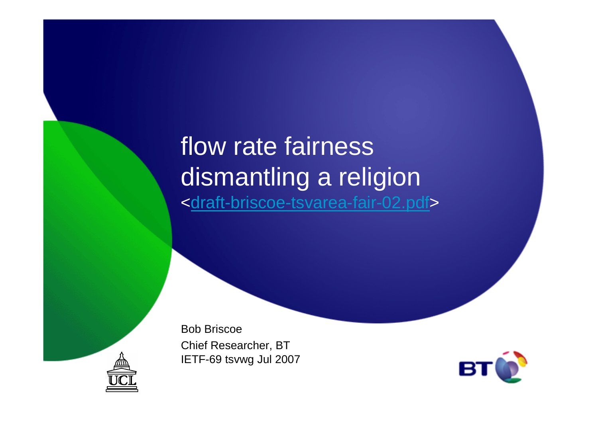### flow rate fairness dismantling a religion<<u>draft-briscoe-tsvarea-fair-02.pdf</u>>

Bob BriscoeChief Researcher, BTIETF-69 tsvwg Jul 2007



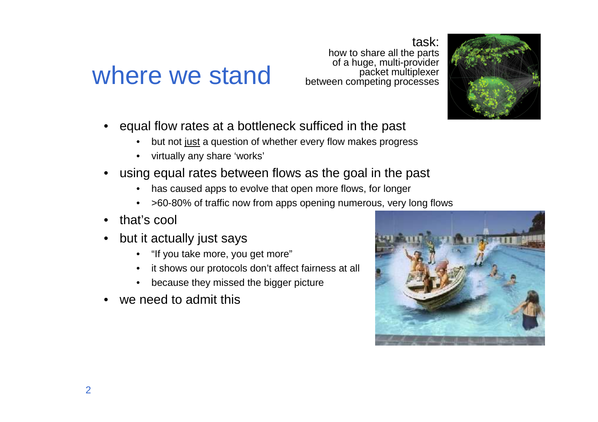#### where we stand

task: how to share all the parts of a huge, multi-provider packet multiplexerbetween competing processes

- • equal flow rates at a bottleneck sufficed in the past
	- •but not just a question of whether every flow makes progress
	- virtually any share 'works'
- • using equal rates between flows as the goal in the past
	- has caused apps to evolve that open more flows, for longer
	- •>60-80% of traffic now from apps opening numerous, very long flows
- •that's cool
- • but it actually just says
	- "If you take more, you get more"
	- it shows our protocols don't affect fairness at all
	- •because they missed the bigger picture
- •we need to admit this



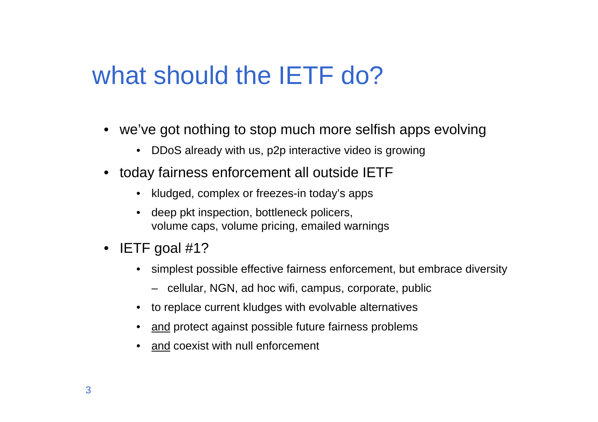## what should the **IETF** do?

- we've got nothing to stop much more selfish apps evolving
	- •DDoS already with us, p2p interactive video is growing
- today fairness enforcement all outside IETF
	- kludged, complex or freezes-in today's apps
	- deep pkt inspection, bottleneck policers, volume caps, volume pricing, emailed warnings
- IETF goal #1?
	- simplest possible effective fairness enforcement, but embrace diversity
		- cellular, NGN, ad hoc wifi, campus, corporate, public
	- to replace current kludges with evolvable alternatives
	- $\bullet$   $\quad$  <u>and</u> protect against possible future fairness problems
	- •and coexist with null enforcement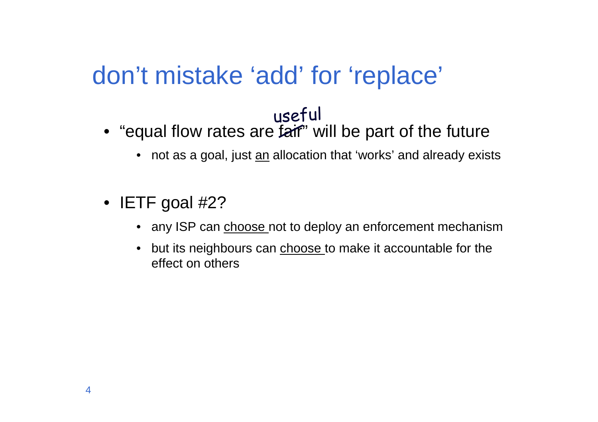## don't mistake 'add' for 'replace'

#### useful

- $\bullet\,$  "equal flow rates are  ${\bf f}$ aif" will be part of the future
	- $\bullet\;\;$  not as a goal, just <u>an</u> allocation that 'works' and already exists
- IETF goal #2?
	- any ISP can <u>choose n</u>ot to deploy an enforcement mechanism
	- but its neighbours can **choose** to make it accountable for the effect on others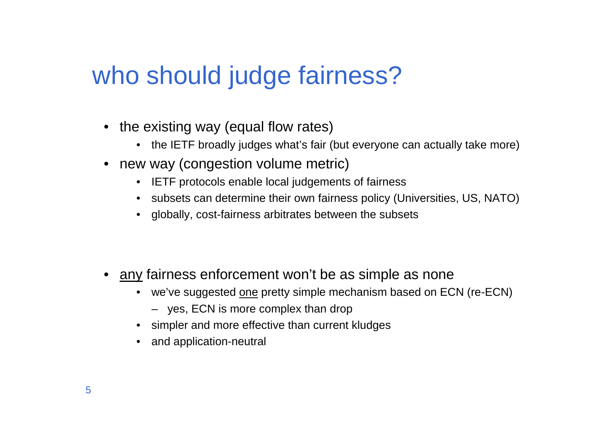# who should judge fairness?

- the existing way (equal flow rates)
	- the IETF broadly judges what's fair (but everyone can actually take more)
- new way (congestion volume metric)
	- IETF protocols enable local judgements of fairness
	- subsets can determine their own fairness policy (Universities, US, NATO)
	- globally, cost-fairness arbitrates between the subsets

- •any fairness enforcement won't be as simple as none
	- we've suggested <u>one</u> pretty simple mechanism based on ECN (re-ECN)
		- yes, ECN is more complex than drop
	- simpler and more effective than current kludges
	- and application-neutral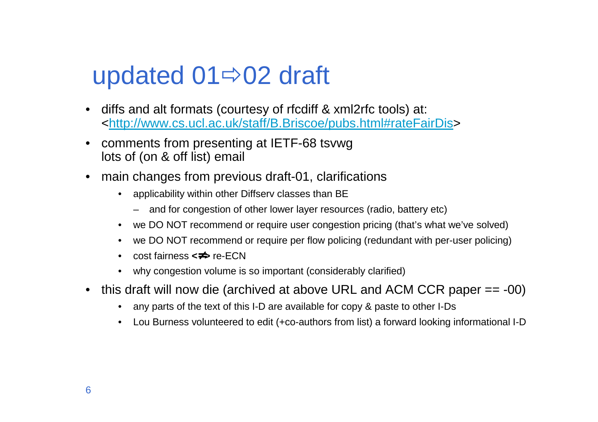# updated  $01 \Rightarrow 02$  draft

- • diffs and alt formats (courtesy of rfcdiff & xml2rfc tools) at: <http://www.cs.ucl.ac.uk/staff/B.Briscoe/pubs.html#rateFairDis>
- • comments from presenting at IETF-68 tsvwglots of (on & off list) email
- • main changes from previous draft-01, clarifications
	- • applicability within other Diffserv classes than BE
		- and for congestion of other lower layer resources (radio, battery etc)
	- we DO NOT recommend or require user congestion pricing (that's what we've solved)
	- •we DO NOT recommend or require per flow policing (redundant with per-user policing)
	- •cost fairness **<**≠**<sup>&</sup>gt;** re-ECN
	- why congestion volume is so important (considerably clarified)•
- • this draft will now die (archived at above URL and ACM CCR paper == -00)
	- •any parts of the text of this I-D are available for copy & paste to other I-Ds
	- $\bullet$ Lou Burness volunteered to edit (+co-authors from list) a forward looking informational I-D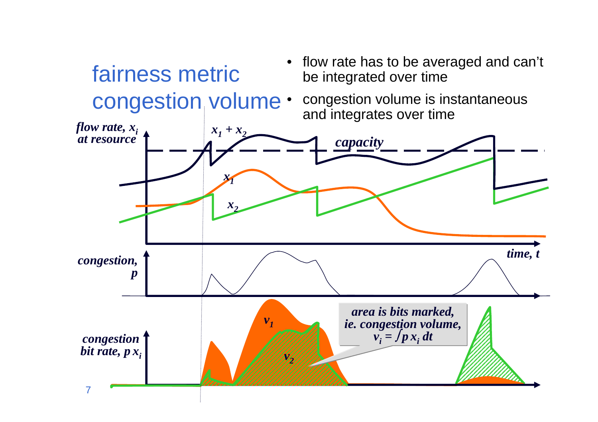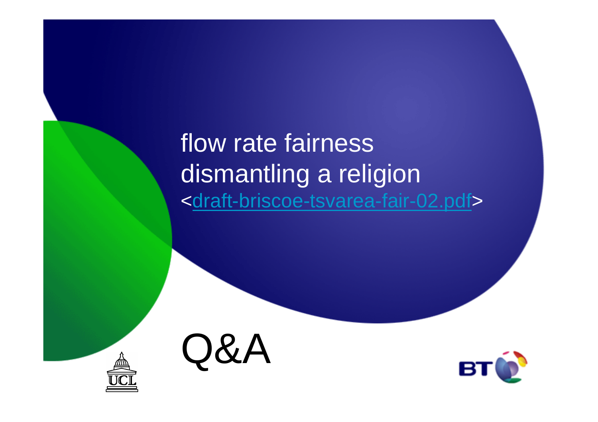flow rate fairness dismantling a religion<<u>draft-briscoe-tsvarea-fair-02.pdf</u>>



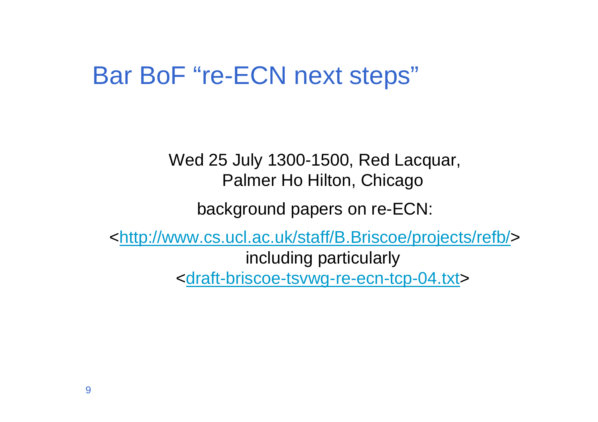### Bar BoF "re-ECN next steps"

Wed 25 July 1300-1500, Red Lacquar, Palmer Ho Hilton, Chicago

background papers on re-ECN:

<http://www.cs.ucl.ac.uk/staff/B.Briscoe/projects/refb/>including particularly<draft-briscoe-tsvwg-re-ecn-tcp-04.txt>